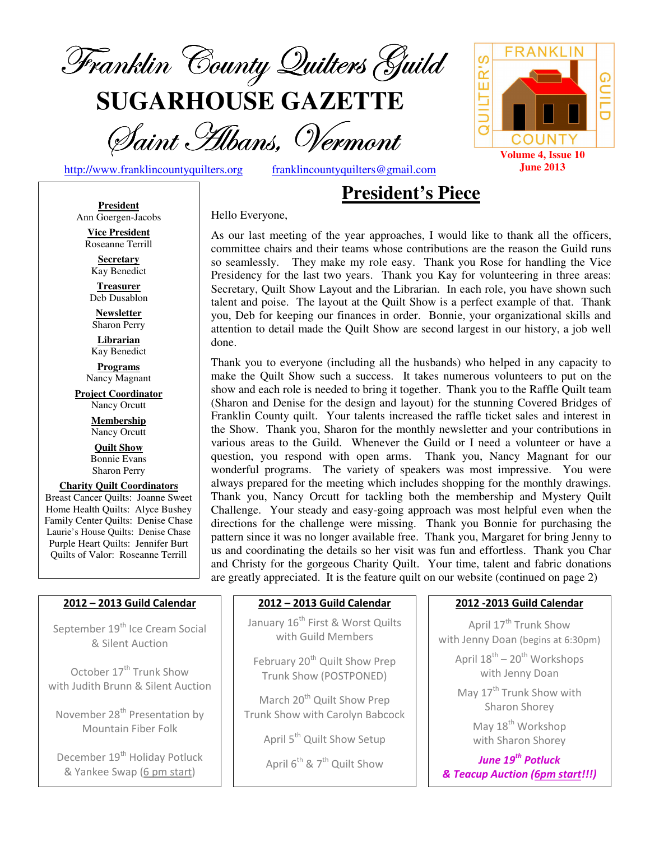

**SUGARHOUSE GAZETTE**

Saint Hibans, Vermont

http://www.franklincountyquilters.org franklincountyquilters@gmail.com

**President** Ann Goergen-Jacobs **Vice President**  Roseanne Terrill **Secretary**  Kay Benedict **Treasurer**  Deb Dusablon **Newsletter**  Sharon Perry **Librarian**  Kay Benedict **Programs** Nancy Magnant **Project Coordinator** Nancy Orcutt **Membership**  Nancy Orcutt **Quilt Show** Bonnie Evans Sharon Perry **Charity Quilt Coordinators** Breast Cancer Quilts: Joanne Sweet Home Health Quilts: Alyce Bushey Family Center Quilts: Denise Chase Laurie's House Quilts: Denise Chase Purple Heart Quilts: Jennifer Burt Quilts of Valor: Roseanne Terrill

# **President's Piece**

Hello Everyone,

As our last meeting of the year approaches, I would like to thank all the officers, committee chairs and their teams whose contributions are the reason the Guild runs so seamlessly. They make my role easy. Thank you Rose for handling the Vice Presidency for the last two years. Thank you Kay for volunteering in three areas: Secretary, Quilt Show Layout and the Librarian. In each role, you have shown such talent and poise. The layout at the Quilt Show is a perfect example of that. Thank you, Deb for keeping our finances in order. Bonnie, your organizational skills and attention to detail made the Quilt Show are second largest in our history, a job well done.

Thank you to everyone (including all the husbands) who helped in any capacity to make the Quilt Show such a success. It takes numerous volunteers to put on the show and each role is needed to bring it together. Thank you to the Raffle Quilt team (Sharon and Denise for the design and layout) for the stunning Covered Bridges of Franklin County quilt. Your talents increased the raffle ticket sales and interest in the Show. Thank you, Sharon for the monthly newsletter and your contributions in various areas to the Guild. Whenever the Guild or I need a volunteer or have a question, you respond with open arms. Thank you, Nancy Magnant for our wonderful programs. The variety of speakers was most impressive. You were always prepared for the meeting which includes shopping for the monthly drawings. Thank you, Nancy Orcutt for tackling both the membership and Mystery Quilt Challenge. Your steady and easy-going approach was most helpful even when the directions for the challenge were missing. Thank you Bonnie for purchasing the pattern since it was no longer available free. Thank you, Margaret for bring Jenny to us and coordinating the details so her visit was fun and effortless. Thank you Char and Christy for the gorgeous Charity Quilt. Your time, talent and fabric donations are greatly appreciated. It is the feature quilt on our website (continued on page 2)

#### 2012 – 2013 Guild Calendar

September 19<sup>th</sup> Ice Cream Social & Silent Auction

October 17<sup>th</sup> Trunk Show with Judith Brunn & Silent Auction

November 28<sup>th</sup> Presentation by Mountain Fiber Folk

December 19<sup>th</sup> Holiday Potluck & Yankee Swap (6 pm start)

#### 2012 – 2013 Guild Calendar

January 16<sup>th</sup> First & Worst Quilts with Guild Members

February 20<sup>th</sup> Quilt Show Prep Trunk Show (POSTPONED)

March 20<sup>th</sup> Quilt Show Prep Trunk Show with Carolyn Babcock

April 5<sup>th</sup> Quilt Show Setup

April  $6^{th}$  &  $7^{th}$  Quilt Show

#### 2012 -2013 Guild Calendar

April 17<sup>th</sup> Trunk Show with Jenny Doan (begins at 6:30pm)

> April  $18^{th}$  –  $20^{th}$  Workshops with Jenny Doan

May 17<sup>th</sup> Trunk Show with Sharon Shorey

> May 18<sup>th</sup> Workshop with Sharon Shorey

June 19<sup>th</sup> Potluck & Teacup Auction (6pm start!!!)

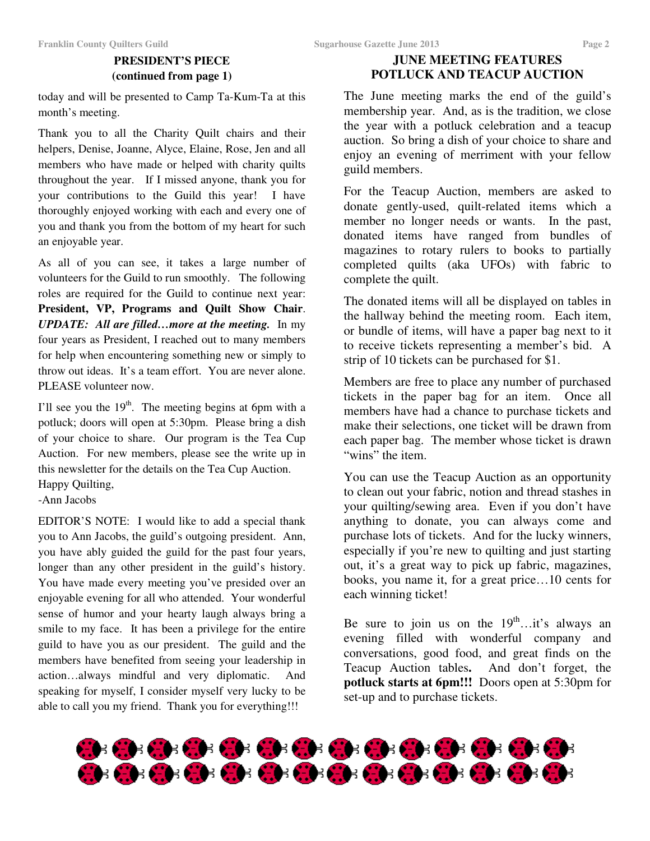# **PRESIDENT'S PIECE (continued from page 1)**

today and will be presented to Camp Ta-Kum-Ta at this month's meeting.

Thank you to all the Charity Quilt chairs and their helpers, Denise, Joanne, Alyce, Elaine, Rose, Jen and all members who have made or helped with charity quilts throughout the year. If I missed anyone, thank you for your contributions to the Guild this year! I have thoroughly enjoyed working with each and every one of you and thank you from the bottom of my heart for such an enjoyable year.

As all of you can see, it takes a large number of volunteers for the Guild to run smoothly. The following roles are required for the Guild to continue next year: **President, VP, Programs and Quilt Show Chair**. *UPDATE: All are filled…more at the meeting.* In my four years as President, I reached out to many members for help when encountering something new or simply to throw out ideas. It's a team effort. You are never alone. PLEASE volunteer now.

I'll see you the  $19<sup>th</sup>$ . The meeting begins at 6pm with a potluck; doors will open at 5:30pm. Please bring a dish of your choice to share. Our program is the Tea Cup Auction. For new members, please see the write up in this newsletter for the details on the Tea Cup Auction. Happy Quilting,

-Ann Jacobs

EDITOR'S NOTE: I would like to add a special thank you to Ann Jacobs, the guild's outgoing president. Ann, you have ably guided the guild for the past four years, longer than any other president in the guild's history. You have made every meeting you've presided over an enjoyable evening for all who attended. Your wonderful sense of humor and your hearty laugh always bring a smile to my face. It has been a privilege for the entire guild to have you as our president. The guild and the members have benefited from seeing your leadership in action…always mindful and very diplomatic. And speaking for myself, I consider myself very lucky to be able to call you my friend. Thank you for everything!!!

## **JUNE MEETING FEATURES POTLUCK AND TEACUP AUCTION**

The June meeting marks the end of the guild's membership year. And, as is the tradition, we close the year with a potluck celebration and a teacup auction. So bring a dish of your choice to share and enjoy an evening of merriment with your fellow guild members.

For the Teacup Auction, members are asked to donate gently-used, quilt-related items which a member no longer needs or wants. In the past, donated items have ranged from bundles of magazines to rotary rulers to books to partially completed quilts (aka UFOs) with fabric to complete the quilt.

The donated items will all be displayed on tables in the hallway behind the meeting room. Each item, or bundle of items, will have a paper bag next to it to receive tickets representing a member's bid. A strip of 10 tickets can be purchased for \$1.

Members are free to place any number of purchased tickets in the paper bag for an item. Once all members have had a chance to purchase tickets and make their selections, one ticket will be drawn from each paper bag. The member whose ticket is drawn "wins" the item.

You can use the Teacup Auction as an opportunity to clean out your fabric, notion and thread stashes in your quilting/sewing area. Even if you don't have anything to donate, you can always come and purchase lots of tickets. And for the lucky winners, especially if you're new to quilting and just starting out, it's a great way to pick up fabric, magazines, books, you name it, for a great price…10 cents for each winning ticket!

Be sure to join us on the  $19<sup>th</sup>$ ...it's always an evening filled with wonderful company and conversations, good food, and great finds on the Teacup Auction tables**.** And don't forget, the **potluck starts at 6pm!!!** Doors open at 5:30pm for set-up and to purchase tickets.

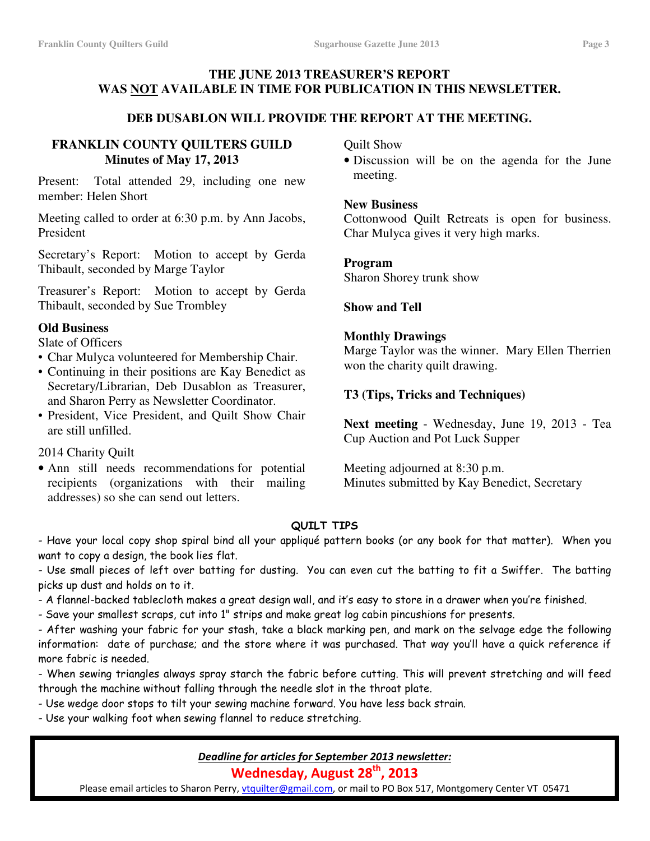### **THE JUNE 2013 TREASURER'S REPORT WAS NOT AVAILABLE IN TIME FOR PUBLICATION IN THIS NEWSLETTER.**

#### **DEB DUSABLON WILL PROVIDE THE REPORT AT THE MEETING.**

#### **FRANKLIN COUNTY QUILTERS GUILD Minutes of May 17, 2013**

Present: Total attended 29, including one new member: Helen Short

Meeting called to order at 6:30 p.m. by Ann Jacobs, President

Secretary's Report: Motion to accept by Gerda Thibault, seconded by Marge Taylor

Treasurer's Report: Motion to accept by Gerda Thibault, seconded by Sue Trombley

#### **Old Business**

Slate of Officers

- Char Mulyca volunteered for Membership Chair.
- Continuing in their positions are Kay Benedict as Secretary/Librarian, Deb Dusablon as Treasurer, and Sharon Perry as Newsletter Coordinator.
- President, Vice President, and Quilt Show Chair are still unfilled.

2014 Charity Quilt

• Ann still needs recommendations for potential recipients (organizations with their mailing addresses) so she can send out letters.

Quilt Show

• Discussion will be on the agenda for the June meeting.

#### **New Business**

Cottonwood Quilt Retreats is open for business. Char Mulyca gives it very high marks.

#### **Program**

Sharon Shorey trunk show

#### **Show and Tell**

#### **Monthly Drawings**

Marge Taylor was the winner. Mary Ellen Therrien won the charity quilt drawing.

#### **T3 (Tips, Tricks and Techniques)**

**Next meeting** - Wednesday, June 19, 2013 - Tea Cup Auction and Pot Luck Supper

Meeting adjourned at 8:30 p.m. Minutes submitted by Kay Benedict, Secretary

#### QUILT TIPS

- Have your local copy shop spiral bind all your appliqué pattern books (or any book for that matter). When you want to copy a design, the book lies flat.

- Use small pieces of left over batting for dusting. You can even cut the batting to fit a Swiffer. The batting picks up dust and holds on to it.

- A flannel-backed tablecloth makes a great design wall, and it's easy to store in a drawer when you're finished.
- Save your smallest scraps, cut into 1" strips and make great log cabin pincushions for presents.

- After washing your fabric for your stash, take a black marking pen, and mark on the selvage edge the following information: date of purchase; and the store where it was purchased. That way you'll have a quick reference if more fabric is needed.

- When sewing triangles always spray starch the fabric before cutting. This will prevent stretching and will feed through the machine without falling through the needle slot in the throat plate.

- Use wedge door stops to tilt your sewing machine forward. You have less back strain.

- Use your walking foot when sewing flannel to reduce stretching.

#### Deadline for articles for September 2013 newsletter:

Wednesday, August 28<sup>th</sup>, 2013

Please email articles to Sharon Perry, vtquilter@gmail.com, or mail to PO Box 517, Montgomery Center VT 05471